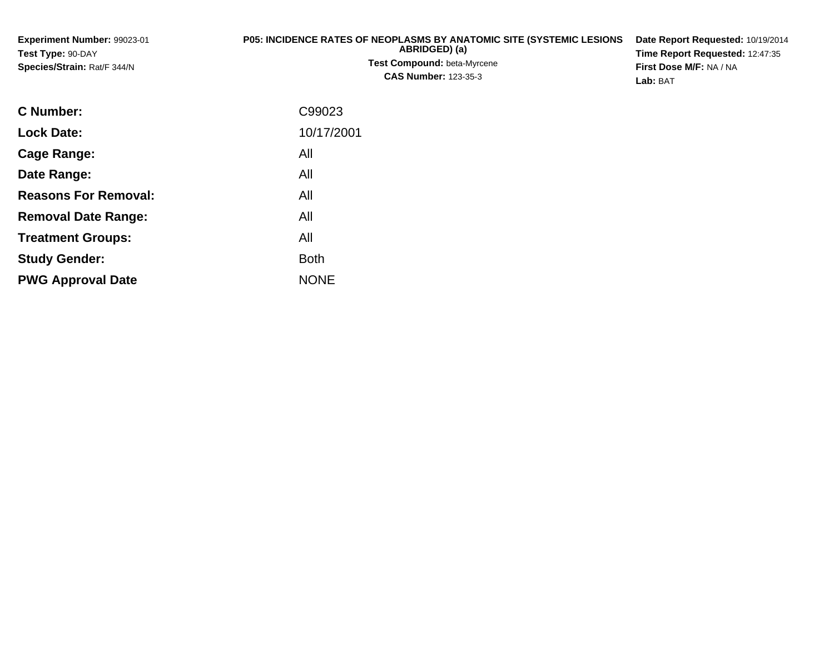| <b>Experiment Number: 99023-01</b> | <b>P05: INCIDENCE RATES OF NEOPLASMS BY ANATOMIC SITE (SYSTEMIC LESIONS)</b> | Date Report Requested: 10/19/2014      |
|------------------------------------|------------------------------------------------------------------------------|----------------------------------------|
| Test Type: 90-DAY                  | ABRIDGED) (a)                                                                | <b>Time Report Requested: 12:47:35</b> |
| <b>Species/Strain: Rat/F 344/N</b> | <b>Test Compound: beta-Myrcene</b>                                           | <b>First Dose M/F: NA / NA</b>         |
|                                    | <b>CAS Number: 123-35-3</b>                                                  | Lab: BAT                               |

| <b>C Number:</b>            | C99023      |
|-----------------------------|-------------|
| <b>Lock Date:</b>           | 10/17/2001  |
| <b>Cage Range:</b>          | All         |
| Date Range:                 | All         |
| <b>Reasons For Removal:</b> | All         |
| <b>Removal Date Range:</b>  | All         |
| <b>Treatment Groups:</b>    | All         |
| <b>Study Gender:</b>        | <b>Both</b> |
| <b>PWG Approval Date</b>    | <b>NONE</b> |
|                             |             |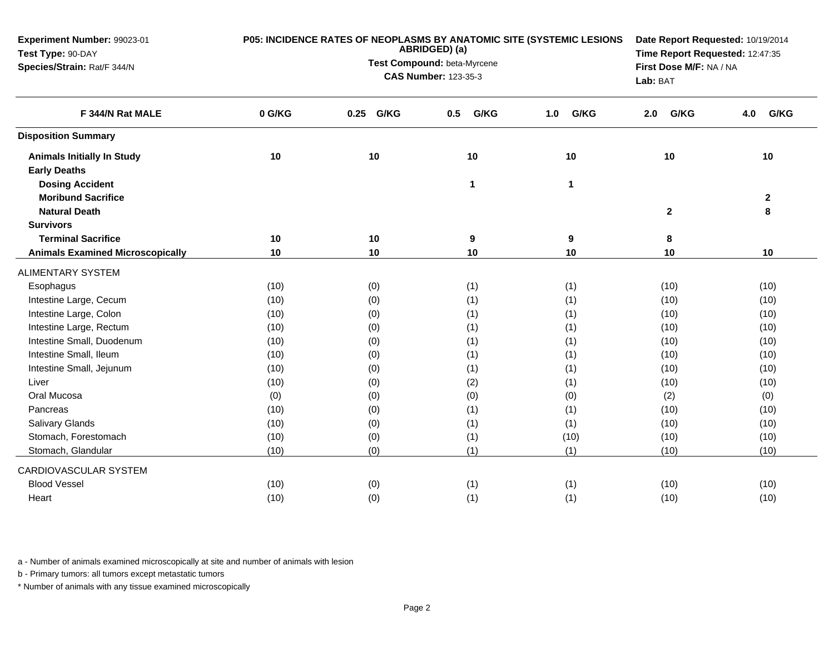| Experiment Number: 99023-01             |        | P05: INCIDENCE RATES OF NEOPLASMS BY ANATOMIC SITE (SYSTEMIC LESIONS<br>ABRIDGED) (a) | Date Report Requested: 10/19/2014   |             |              |             |
|-----------------------------------------|--------|---------------------------------------------------------------------------------------|-------------------------------------|-------------|--------------|-------------|
| Test Type: 90-DAY                       |        | Test Compound: beta-Myrcene                                                           | Time Report Requested: 12:47:35     |             |              |             |
| Species/Strain: Rat/F 344/N             |        | <b>CAS Number: 123-35-3</b>                                                           | First Dose M/F: NA / NA<br>Lab: BAT |             |              |             |
| F 344/N Rat MALE                        | 0 G/KG | G/KG<br>0.25                                                                          | G/KG<br>0.5                         | G/KG<br>1.0 | G/KG<br>2.0  | 4.0<br>G/KG |
| <b>Disposition Summary</b>              |        |                                                                                       |                                     |             |              |             |
| <b>Animals Initially In Study</b>       | 10     | 10                                                                                    | 10                                  | 10          | 10           | 10          |
| <b>Early Deaths</b>                     |        |                                                                                       |                                     |             |              |             |
| <b>Dosing Accident</b>                  |        |                                                                                       | $\mathbf{1}$                        | 1           |              |             |
| <b>Moribund Sacrifice</b>               |        |                                                                                       |                                     |             |              | $\mathbf 2$ |
| <b>Natural Death</b>                    |        |                                                                                       |                                     |             | $\mathbf{2}$ | 8           |
| <b>Survivors</b>                        |        |                                                                                       |                                     |             |              |             |
| <b>Terminal Sacrifice</b>               | 10     | 10                                                                                    | 9                                   | 9           | 8            |             |
| <b>Animals Examined Microscopically</b> | 10     | 10                                                                                    | 10                                  | 10          | 10           | 10          |
| <b>ALIMENTARY SYSTEM</b>                |        |                                                                                       |                                     |             |              |             |
| Esophagus                               | (10)   | (0)                                                                                   | (1)                                 | (1)         | (10)         | (10)        |
| Intestine Large, Cecum                  | (10)   | (0)                                                                                   | (1)                                 | (1)         | (10)         | (10)        |
| Intestine Large, Colon                  | (10)   | (0)                                                                                   | (1)                                 | (1)         | (10)         | (10)        |
| Intestine Large, Rectum                 | (10)   | (0)                                                                                   | (1)                                 | (1)         | (10)         | (10)        |
| Intestine Small, Duodenum               | (10)   | (0)                                                                                   | (1)                                 | (1)         | (10)         | (10)        |
| Intestine Small, Ileum                  | (10)   | (0)                                                                                   | (1)                                 | (1)         | (10)         | (10)        |
| Intestine Small, Jejunum                | (10)   | (0)                                                                                   | (1)                                 | (1)         | (10)         | (10)        |
| Liver                                   | (10)   | (0)                                                                                   | (2)                                 | (1)         | (10)         | (10)        |
| Oral Mucosa                             | (0)    | (0)                                                                                   | (0)                                 | (0)         | (2)          | (0)         |
| Pancreas                                | (10)   | (0)                                                                                   | (1)                                 | (1)         | (10)         | (10)        |
| <b>Salivary Glands</b>                  | (10)   | (0)                                                                                   | (1)                                 | (1)         | (10)         | (10)        |
| Stomach, Forestomach                    | (10)   | (0)                                                                                   | (1)                                 | (10)        | (10)         | (10)        |
| Stomach, Glandular                      | (10)   | (0)                                                                                   | (1)                                 | (1)         | (10)         | (10)        |
| CARDIOVASCULAR SYSTEM                   |        |                                                                                       |                                     |             |              |             |
| <b>Blood Vessel</b>                     | (10)   | (0)                                                                                   | (1)                                 | (1)         | (10)         | (10)        |
| Heart                                   | (10)   | (0)                                                                                   | (1)                                 | (1)         | (10)         | (10)        |

b - Primary tumors: all tumors except metastatic tumors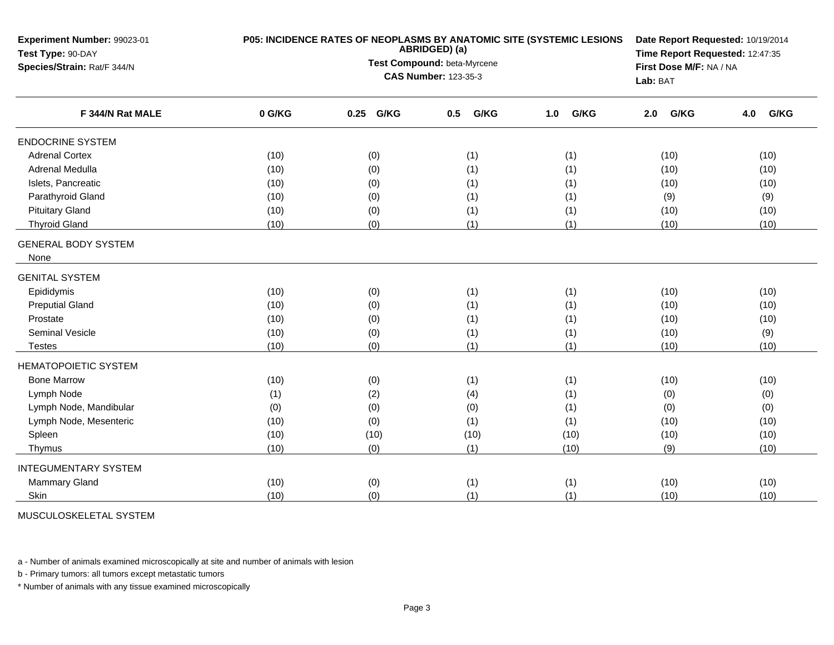| Experiment Number: 99023-01<br>Test Type: 90-DAY<br>Species/Strain: Rat/F 344/N | P05: INCIDENCE RATES OF NEOPLASMS BY ANATOMIC SITE (SYSTEMIC LESIONS | Date Report Requested: 10/19/2014<br>Time Report Requested: 12:47:35<br>First Dose M/F: NA / NA<br>Lab: BAT |              |             |              |             |
|---------------------------------------------------------------------------------|----------------------------------------------------------------------|-------------------------------------------------------------------------------------------------------------|--------------|-------------|--------------|-------------|
| F 344/N Rat MALE                                                                | 0 G/KG                                                               | G/KG<br>0.25                                                                                                | G/KG<br>0.5  | G/KG<br>1.0 | G/KG<br>2.0  | 4.0<br>G/KG |
| <b>ENDOCRINE SYSTEM</b>                                                         |                                                                      |                                                                                                             |              |             |              |             |
| <b>Adrenal Cortex</b>                                                           | (10)                                                                 | (0)                                                                                                         | (1)          | (1)         | (10)         | (10)        |
| Adrenal Medulla                                                                 | (10)                                                                 | (0)                                                                                                         | (1)          | (1)         | (10)         | (10)        |
| Islets, Pancreatic                                                              | (10)                                                                 | (0)                                                                                                         | (1)          | (1)         | (10)         | (10)        |
| Parathyroid Gland                                                               | (10)                                                                 | (0)                                                                                                         | (1)          | (1)         | (9)          | (9)         |
| <b>Pituitary Gland</b>                                                          | (10)                                                                 | (0)                                                                                                         | (1)          | (1)         | (10)         | (10)        |
| <b>Thyroid Gland</b>                                                            | (10)                                                                 | (0)                                                                                                         | (1)          | (1)         | (10)         | (10)        |
| <b>GENERAL BODY SYSTEM</b>                                                      |                                                                      |                                                                                                             |              |             |              |             |
| None                                                                            |                                                                      |                                                                                                             |              |             |              |             |
| <b>GENITAL SYSTEM</b>                                                           |                                                                      |                                                                                                             |              |             |              |             |
| Epididymis                                                                      | (10)                                                                 | (0)                                                                                                         | (1)          | (1)         | (10)         | (10)        |
| <b>Preputial Gland</b>                                                          | (10)                                                                 | (0)                                                                                                         | (1)          | (1)         | (10)         | (10)        |
| Prostate                                                                        | (10)                                                                 | (0)                                                                                                         | (1)          | (1)         | (10)         | (10)        |
| <b>Seminal Vesicle</b>                                                          | (10)                                                                 | (0)                                                                                                         | (1)          | (1)         | (10)         | (9)         |
| Testes                                                                          | (10)                                                                 | (0)                                                                                                         | (1)          | (1)         | (10)         | (10)        |
| <b>HEMATOPOIETIC SYSTEM</b>                                                     |                                                                      |                                                                                                             |              |             |              |             |
| <b>Bone Marrow</b>                                                              | (10)                                                                 | (0)                                                                                                         | (1)          | (1)         | (10)         | (10)        |
| Lymph Node                                                                      | (1)                                                                  | (2)                                                                                                         | (4)          | (1)         | (0)          | (0)         |
| Lymph Node, Mandibular                                                          | (0)                                                                  | (0)                                                                                                         | (0)          | (1)         | (0)          | (0)         |
| Lymph Node, Mesenteric                                                          | (10)                                                                 | (0)                                                                                                         | (1)          | (1)         | (10)         | (10)        |
| Spleen                                                                          | (10)                                                                 | (10)                                                                                                        | (10)<br>(10) |             | (10)<br>(10) |             |
| Thymus                                                                          | (10)                                                                 | (0)                                                                                                         | (1)          | (10)        | (9)          | (10)        |
| <b>INTEGUMENTARY SYSTEM</b>                                                     |                                                                      |                                                                                                             |              |             |              |             |
| Mammary Gland                                                                   | (10)                                                                 | (0)                                                                                                         | (1)          | (1)         | (10)         | (10)        |
| Skin                                                                            | (10)                                                                 | (0)                                                                                                         | (1)          | (1)         | (10)         | (10)        |

MUSCULOSKELETAL SYSTEM

a - Number of animals examined microscopically at site and number of animals with lesion

b - Primary tumors: all tumors except metastatic tumors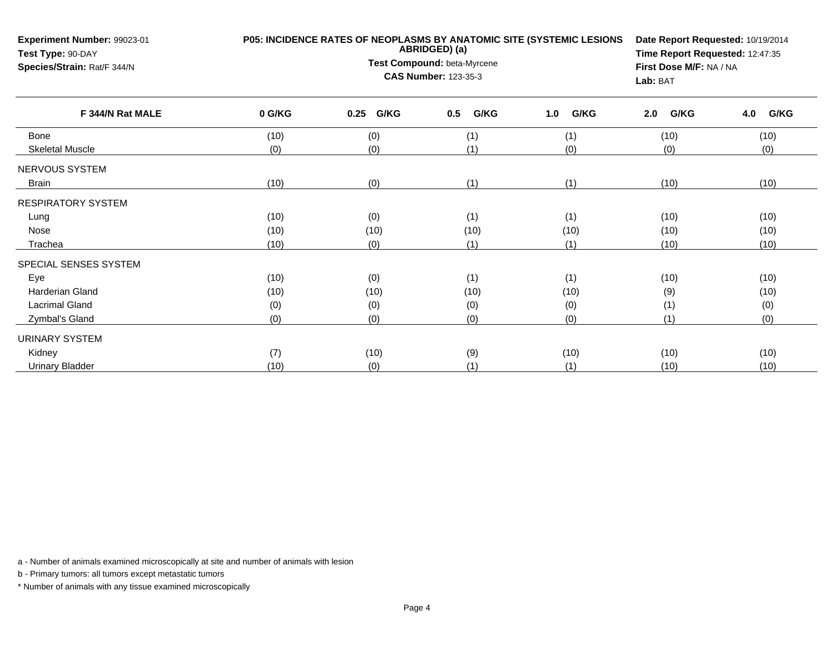| Experiment Number: 99023-01<br>Test Type: 90-DAY<br>Species/Strain: Rat/F 344/N | P05: INCIDENCE RATES OF NEOPLASMS BY ANATOMIC SITE (SYSTEMIC LESIONS | Date Report Requested: 10/19/2014<br>Time Report Requested: 12:47:35<br>First Dose M/F: NA / NA<br>Lab: BAT |             |             |             |             |
|---------------------------------------------------------------------------------|----------------------------------------------------------------------|-------------------------------------------------------------------------------------------------------------|-------------|-------------|-------------|-------------|
| F 344/N Rat MALE                                                                | 0 G/KG                                                               | 0.25<br>G/KG                                                                                                | G/KG<br>0.5 | G/KG<br>1.0 | G/KG<br>2.0 | G/KG<br>4.0 |
| <b>Bone</b>                                                                     | (10)                                                                 | (0)                                                                                                         | (1)         | (1)         | (10)        | (10)        |
| <b>Skeletal Muscle</b>                                                          | (0)                                                                  | (0)                                                                                                         | (1)         | (0)         | (0)         | (0)         |
| NERVOUS SYSTEM                                                                  |                                                                      |                                                                                                             |             |             |             |             |
| <b>Brain</b>                                                                    | (10)                                                                 | (0)                                                                                                         | (1)         | (1)         | (10)        | (10)        |
| <b>RESPIRATORY SYSTEM</b>                                                       |                                                                      |                                                                                                             |             |             |             |             |
| Lung                                                                            | (10)                                                                 | (0)                                                                                                         | (1)         | (1)         | (10)        | (10)        |
| Nose                                                                            | (10)                                                                 | (10)                                                                                                        | (10)        | (10)        | (10)        | (10)        |
| Trachea                                                                         | (10)                                                                 | (0)                                                                                                         | (1)         | (1)         | (10)        | (10)        |
| SPECIAL SENSES SYSTEM                                                           |                                                                      |                                                                                                             |             |             |             |             |
| Eye                                                                             | (10)                                                                 | (0)                                                                                                         | (1)         | (1)         | (10)        | (10)        |
| Harderian Gland                                                                 | (10)                                                                 | (10)                                                                                                        | (10)        | (10)        | (9)         | (10)        |
| <b>Lacrimal Gland</b>                                                           | (0)                                                                  | (0)                                                                                                         | (0)         | (0)         | (1)         | (0)         |
| Zymbal's Gland                                                                  | (0)                                                                  | (0)                                                                                                         | (0)         | (0)         | (1)         | (0)         |
| <b>URINARY SYSTEM</b>                                                           |                                                                      |                                                                                                             |             |             |             |             |
| Kidney                                                                          | (7)                                                                  | (10)                                                                                                        | (9)         | (10)        | (10)        | (10)        |
| <b>Urinary Bladder</b>                                                          | (10)                                                                 | (0)                                                                                                         | (1)         | (1)         | (10)        | (10)        |

b - Primary tumors: all tumors except metastatic tumors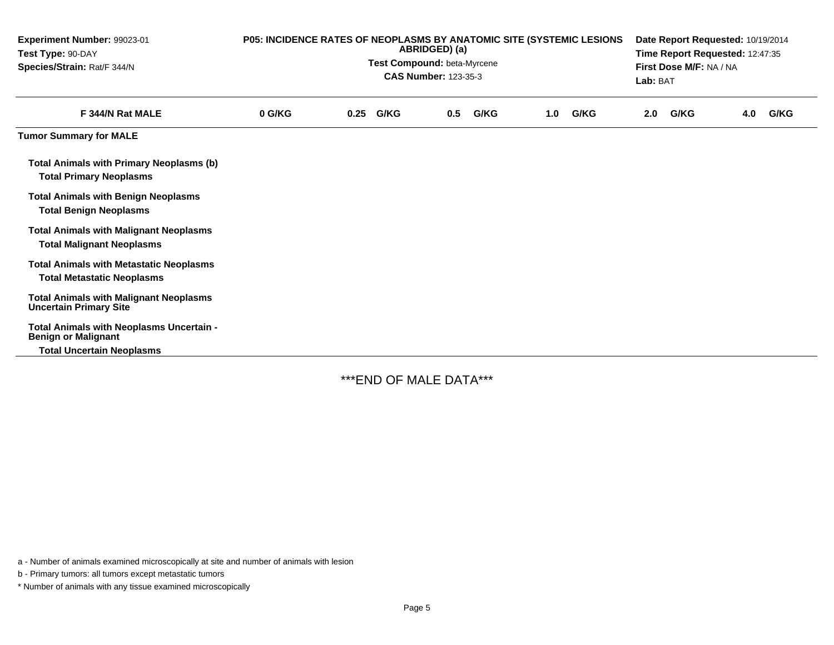| Experiment Number: 99023-01<br>Test Type: 90-DAY<br>Species/Strain: Rat/F 344/N     | P05: INCIDENCE RATES OF NEOPLASMS BY ANATOMIC SITE (SYSTEMIC LESIONS<br>ABRIDGED) (a)<br>Test Compound: beta-Myrcene<br><b>CAS Number: 123-35-3</b> |  |           |     |      |     |      |     | Date Report Requested: 10/19/2014<br>Time Report Requested: 12:47:35<br>First Dose M/F: NA / NA<br>Lab: BAT |     |      |  |
|-------------------------------------------------------------------------------------|-----------------------------------------------------------------------------------------------------------------------------------------------------|--|-----------|-----|------|-----|------|-----|-------------------------------------------------------------------------------------------------------------|-----|------|--|
| F 344/N Rat MALE                                                                    | 0 G/KG                                                                                                                                              |  | 0.25 G/KG | 0.5 | G/KG | 1.0 | G/KG | 2.0 | G/KG                                                                                                        | 4.0 | G/KG |  |
| <b>Tumor Summary for MALE</b>                                                       |                                                                                                                                                     |  |           |     |      |     |      |     |                                                                                                             |     |      |  |
| <b>Total Animals with Primary Neoplasms (b)</b><br><b>Total Primary Neoplasms</b>   |                                                                                                                                                     |  |           |     |      |     |      |     |                                                                                                             |     |      |  |
| <b>Total Animals with Benign Neoplasms</b><br><b>Total Benign Neoplasms</b>         |                                                                                                                                                     |  |           |     |      |     |      |     |                                                                                                             |     |      |  |
| <b>Total Animals with Malignant Neoplasms</b><br><b>Total Malignant Neoplasms</b>   |                                                                                                                                                     |  |           |     |      |     |      |     |                                                                                                             |     |      |  |
| <b>Total Animals with Metastatic Neoplasms</b><br><b>Total Metastatic Neoplasms</b> |                                                                                                                                                     |  |           |     |      |     |      |     |                                                                                                             |     |      |  |
| <b>Total Animals with Malignant Neoplasms</b><br><b>Uncertain Primary Site</b>      |                                                                                                                                                     |  |           |     |      |     |      |     |                                                                                                             |     |      |  |
| Total Animals with Neoplasms Uncertain -<br><b>Benign or Malignant</b>              |                                                                                                                                                     |  |           |     |      |     |      |     |                                                                                                             |     |      |  |
| <b>Total Uncertain Neoplasms</b>                                                    |                                                                                                                                                     |  |           |     |      |     |      |     |                                                                                                             |     |      |  |

\*\*\*END OF MALE DATA\*\*\*

a - Number of animals examined microscopically at site and number of animals with lesion

b - Primary tumors: all tumors except metastatic tumors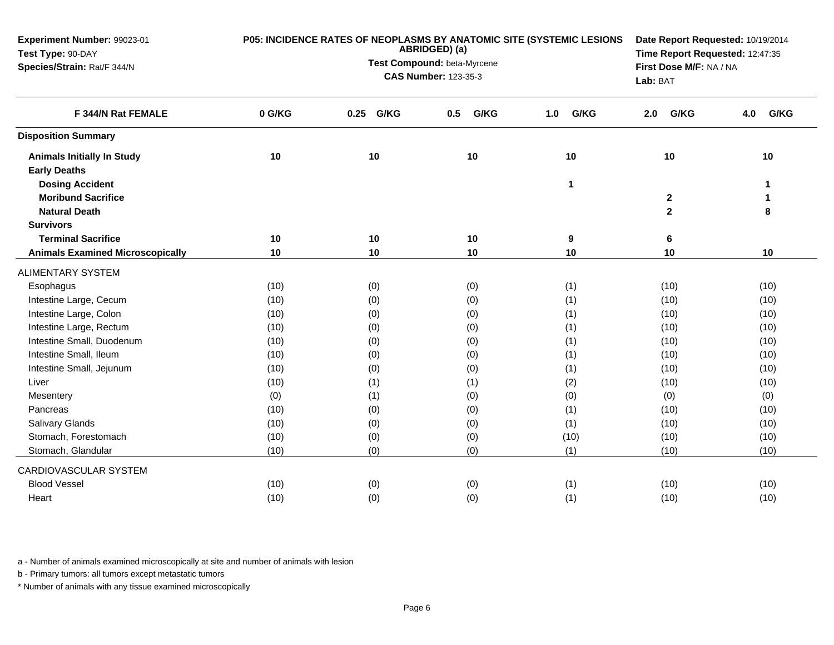| Experiment Number: 99023-01<br>Test Type: 90-DAY |        | P05: INCIDENCE RATES OF NEOPLASMS BY ANATOMIC SITE (SYSTEMIC LESIONS<br>ABRIDGED) (a) | Date Report Requested: 10/19/2014<br>Time Report Requested: 12:47:35 |                                     |              |             |
|--------------------------------------------------|--------|---------------------------------------------------------------------------------------|----------------------------------------------------------------------|-------------------------------------|--------------|-------------|
| Species/Strain: Rat/F 344/N                      |        | Test Compound: beta-Myrcene                                                           |                                                                      |                                     |              |             |
|                                                  |        | <b>CAS Number: 123-35-3</b>                                                           |                                                                      | First Dose M/F: NA / NA<br>Lab: BAT |              |             |
| F 344/N Rat FEMALE                               | 0 G/KG | G/KG<br>0.25                                                                          | G/KG<br>0.5                                                          | G/KG<br>1.0                         | G/KG<br>2.0  | G/KG<br>4.0 |
| <b>Disposition Summary</b>                       |        |                                                                                       |                                                                      |                                     |              |             |
| <b>Animals Initially In Study</b>                | 10     | 10                                                                                    | 10                                                                   | 10                                  | 10           | 10          |
| <b>Early Deaths</b>                              |        |                                                                                       |                                                                      |                                     |              |             |
| <b>Dosing Accident</b>                           |        |                                                                                       |                                                                      | 1                                   |              | 1           |
| <b>Moribund Sacrifice</b>                        |        |                                                                                       |                                                                      |                                     | $\mathbf 2$  | 1           |
| <b>Natural Death</b>                             |        |                                                                                       |                                                                      |                                     | $\mathbf{2}$ | 8           |
| <b>Survivors</b>                                 |        |                                                                                       |                                                                      |                                     |              |             |
| <b>Terminal Sacrifice</b>                        | 10     | 10                                                                                    | 10                                                                   | 9                                   | 6            |             |
| <b>Animals Examined Microscopically</b>          | 10     | 10                                                                                    | 10                                                                   | 10                                  | 10           | 10          |
| <b>ALIMENTARY SYSTEM</b>                         |        |                                                                                       |                                                                      |                                     |              |             |
| Esophagus                                        | (10)   | (0)                                                                                   | (0)                                                                  | (1)                                 | (10)         | (10)        |
| Intestine Large, Cecum                           | (10)   | (0)                                                                                   | (0)                                                                  | (1)                                 | (10)         | (10)        |
| Intestine Large, Colon                           | (10)   | (0)                                                                                   | (0)                                                                  | (1)                                 | (10)         | (10)        |
| Intestine Large, Rectum                          | (10)   | (0)                                                                                   | (0)                                                                  | (1)                                 | (10)         | (10)        |
| Intestine Small, Duodenum                        | (10)   | (0)                                                                                   | (0)                                                                  | (1)                                 | (10)         | (10)        |
| Intestine Small, Ileum                           | (10)   | (0)                                                                                   | (0)                                                                  | (1)                                 | (10)         | (10)        |
| Intestine Small, Jejunum                         | (10)   | (0)                                                                                   | (0)                                                                  | (1)                                 | (10)         | (10)        |
| Liver                                            | (10)   | (1)                                                                                   | (1)                                                                  | (2)                                 | (10)         | (10)        |
| Mesentery                                        | (0)    | (1)                                                                                   | (0)                                                                  | (0)                                 | (0)          | (0)         |
| Pancreas                                         | (10)   | (0)                                                                                   | (0)                                                                  | (1)                                 | (10)         | (10)        |
| Salivary Glands                                  | (10)   | (0)                                                                                   | (0)                                                                  | (1)                                 | (10)         | (10)        |
| Stomach, Forestomach                             | (10)   | (0)                                                                                   | (0)                                                                  | (10)                                | (10)         | (10)        |
| Stomach, Glandular                               | (10)   | (0)                                                                                   | (0)                                                                  | (1)                                 | (10)         | (10)        |
| CARDIOVASCULAR SYSTEM                            |        |                                                                                       |                                                                      |                                     |              |             |
| <b>Blood Vessel</b>                              | (10)   | (0)                                                                                   | (0)                                                                  | (1)                                 | (10)         | (10)        |
| Heart                                            | (10)   | (0)                                                                                   | (0)                                                                  | (1)                                 | (10)         | (10)        |

b - Primary tumors: all tumors except metastatic tumors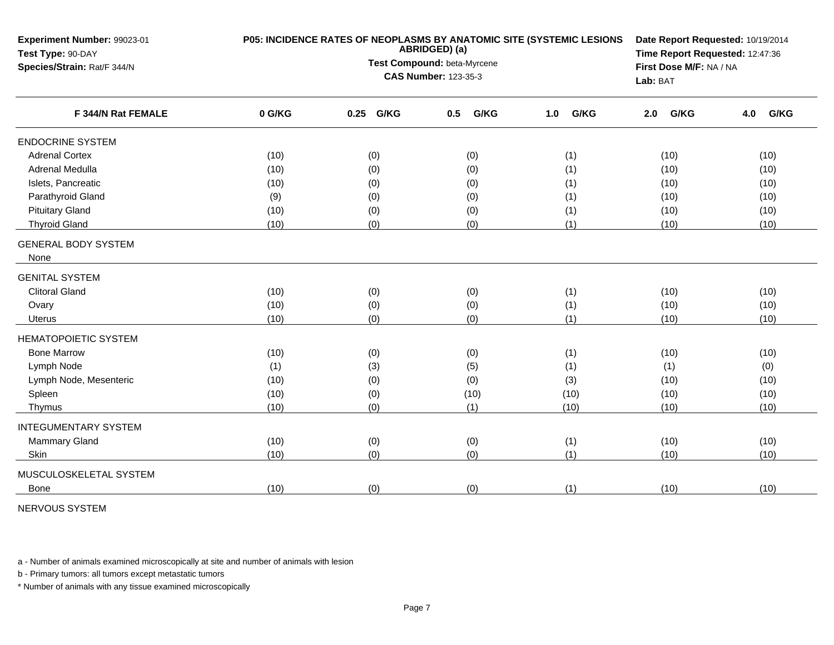| Experiment Number: 99023-01<br>Test Type: 90-DAY<br>Species/Strain: Rat/F 344/N | P05: INCIDENCE RATES OF NEOPLASMS BY ANATOMIC SITE (SYSTEMIC LESIONS | Date Report Requested: 10/19/2014<br>Time Report Requested: 12:47:36<br>First Dose M/F: NA / NA<br>Lab: BAT |             |             |             |             |
|---------------------------------------------------------------------------------|----------------------------------------------------------------------|-------------------------------------------------------------------------------------------------------------|-------------|-------------|-------------|-------------|
| F 344/N Rat FEMALE                                                              | 0 G/KG                                                               | 0.25<br>G/KG                                                                                                | G/KG<br>0.5 | G/KG<br>1.0 | 2.0<br>G/KG | G/KG<br>4.0 |
| <b>ENDOCRINE SYSTEM</b>                                                         |                                                                      |                                                                                                             |             |             |             |             |
| <b>Adrenal Cortex</b>                                                           | (10)                                                                 | (0)                                                                                                         | (0)         | (1)         | (10)        | (10)        |
| Adrenal Medulla                                                                 | (10)                                                                 | (0)                                                                                                         | (0)         | (1)         | (10)        | (10)        |
| Islets, Pancreatic                                                              | (10)                                                                 | (0)                                                                                                         | (0)         | (1)         | (10)        | (10)        |
| Parathyroid Gland                                                               | (9)                                                                  | (0)                                                                                                         | (0)         | (1)         | (10)        | (10)        |
| <b>Pituitary Gland</b>                                                          | (10)                                                                 | (0)                                                                                                         | (0)         | (1)         | (10)        | (10)        |
| <b>Thyroid Gland</b>                                                            | (10)                                                                 | (0)                                                                                                         | (0)         | (1)         | (10)        | (10)        |
| <b>GENERAL BODY SYSTEM</b><br>None                                              |                                                                      |                                                                                                             |             |             |             |             |
| <b>GENITAL SYSTEM</b>                                                           |                                                                      |                                                                                                             |             |             |             |             |
| <b>Clitoral Gland</b>                                                           | (10)                                                                 | (0)                                                                                                         | (0)         | (1)         | (10)        | (10)        |
| Ovary                                                                           | (10)                                                                 | (0)                                                                                                         | (0)         | (1)         | (10)        | (10)        |
| <b>Uterus</b>                                                                   | (10)                                                                 | (0)                                                                                                         | (0)         | (1)         | (10)        | (10)        |
| <b>HEMATOPOIETIC SYSTEM</b>                                                     |                                                                      |                                                                                                             |             |             |             |             |
| <b>Bone Marrow</b>                                                              | (10)                                                                 | (0)                                                                                                         | (0)         | (1)         | (10)        | (10)        |
| Lymph Node                                                                      | (1)                                                                  | (3)                                                                                                         | (5)         | (1)         | (1)         | (0)         |
| Lymph Node, Mesenteric                                                          | (10)                                                                 | (0)                                                                                                         | (0)         | (3)         | (10)        | (10)        |
| Spleen                                                                          | (10)                                                                 | (0)                                                                                                         | (10)        | (10)        | (10)        | (10)        |
| Thymus                                                                          | (10)                                                                 | (0)                                                                                                         | (1)         | (10)        | (10)        | (10)        |
| <b>INTEGUMENTARY SYSTEM</b>                                                     |                                                                      |                                                                                                             |             |             |             |             |
| <b>Mammary Gland</b>                                                            | (10)                                                                 | (0)                                                                                                         | (0)         | (1)         | (10)        | (10)        |
| Skin                                                                            | (10)                                                                 | (0)                                                                                                         | (0)         | (1)         | (10)        | (10)        |
| MUSCULOSKELETAL SYSTEM                                                          |                                                                      |                                                                                                             |             |             |             |             |
| Bone                                                                            | (10)                                                                 | (0)                                                                                                         | (0)         | (1)         | (10)        | (10)        |

NERVOUS SYSTEM

a - Number of animals examined microscopically at site and number of animals with lesion

b - Primary tumors: all tumors except metastatic tumors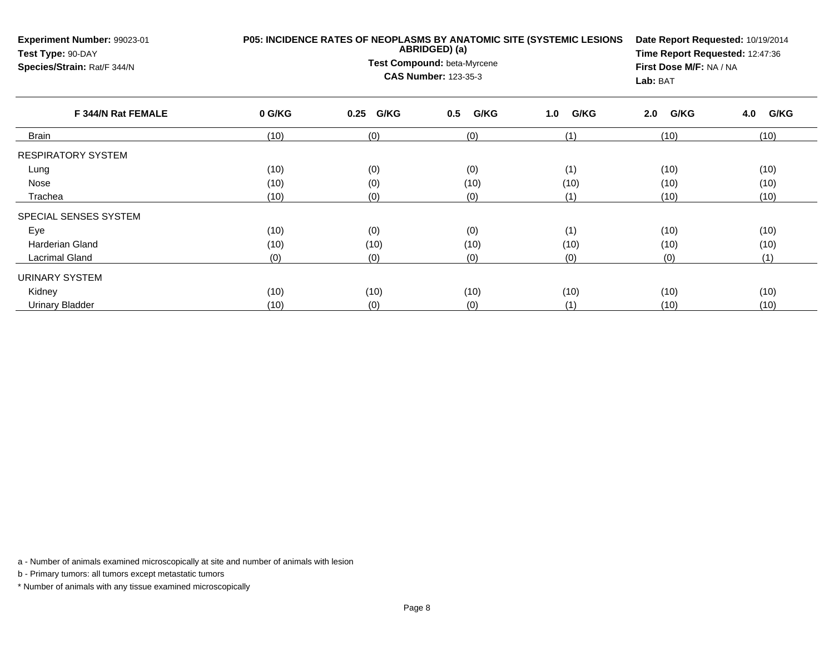| Experiment Number: 99023-01<br>Test Type: 90-DAY<br>Species/Strain: Rat/F 344/N | P05: INCIDENCE RATES OF NEOPLASMS BY ANATOMIC SITE (SYSTEMIC LESIONS | Date Report Requested: 10/19/2014<br>Time Report Requested: 12:47:36<br>First Dose M/F: NA / NA<br>Lab: BAT |             |             |             |             |  |
|---------------------------------------------------------------------------------|----------------------------------------------------------------------|-------------------------------------------------------------------------------------------------------------|-------------|-------------|-------------|-------------|--|
| F 344/N Rat FEMALE                                                              | 0 G/KG                                                               | G/KG<br>0.25                                                                                                | G/KG<br>0.5 | G/KG<br>1.0 | G/KG<br>2.0 | G/KG<br>4.0 |  |
| Brain                                                                           | (10)                                                                 | (0)                                                                                                         | (0)         | (1)         | (10)        | (10)        |  |
| <b>RESPIRATORY SYSTEM</b>                                                       |                                                                      |                                                                                                             |             |             |             |             |  |
| Lung                                                                            | (10)                                                                 | (0)                                                                                                         | (0)         | (1)         | (10)        | (10)        |  |
| Nose                                                                            | (10)                                                                 | (0)                                                                                                         | (10)        | (10)        | (10)        | (10)        |  |
| Trachea                                                                         | (10)                                                                 | (0)                                                                                                         | (0)         | (1)         | (10)        | (10)        |  |
| SPECIAL SENSES SYSTEM                                                           |                                                                      |                                                                                                             |             |             |             |             |  |
| Eye                                                                             | (10)                                                                 | (0)                                                                                                         | (0)         | (1)         | (10)        | (10)        |  |
| <b>Harderian Gland</b>                                                          | (10)                                                                 | (10)                                                                                                        | (10)        | (10)        | (10)        | (10)        |  |
| Lacrimal Gland                                                                  | (0)                                                                  | (0)                                                                                                         | (0)         | (0)         | (0)         | (1)         |  |
| <b>URINARY SYSTEM</b>                                                           |                                                                      |                                                                                                             |             |             |             |             |  |
| Kidney                                                                          | (10)                                                                 | (10)                                                                                                        | (10)        | (10)        | (10)        | (10)        |  |
| <b>Urinary Bladder</b>                                                          | (10)                                                                 | (0)                                                                                                         | (0)         | (1)         | (10)        | (10)        |  |

b - Primary tumors: all tumors except metastatic tumors